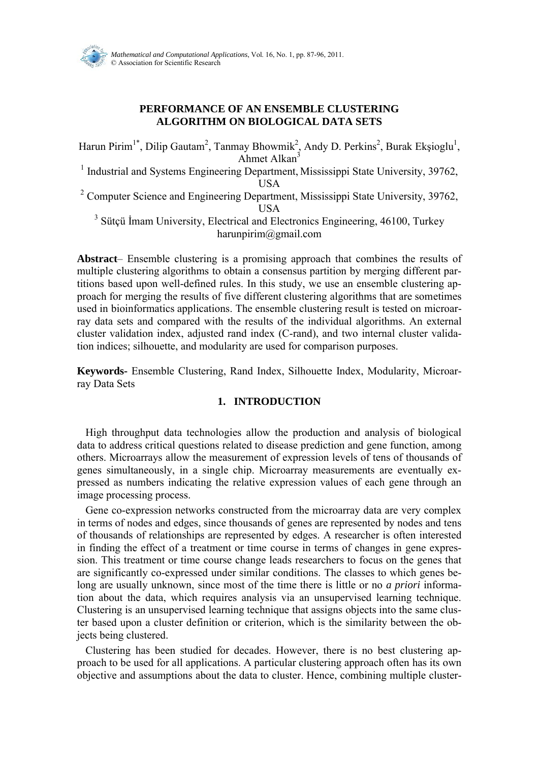

# **PERFORMANCE OF AN ENSEMBLE CLUSTERING ALGORITHM ON BIOLOGICAL DATA SETS**

Harun Pirim<sup>1\*</sup>, Dilip Gautam<sup>2</sup>, Tanmay Bhowmik<sup>2</sup>, Andy D. Perkins<sup>2</sup>, Burak Ekşioglu<sup>1</sup>, Ahmet Alkan<sup>3</sup>

<sup>1</sup> Industrial and Systems Engineering Department, Mississippi State University, 39762, USA

<sup>2</sup> Computer Science and Engineering Department, Mississippi State University, 39762, USA

<sup>3</sup> Sütçü İmam University, Electrical and Electronics Engineering, 46100, Turkey harunpirim@gmail.com

**Abstract**– Ensemble clustering is a promising approach that combines the results of multiple clustering algorithms to obtain a consensus partition by merging different partitions based upon well-defined rules. In this study, we use an ensemble clustering approach for merging the results of five different clustering algorithms that are sometimes used in bioinformatics applications. The ensemble clustering result is tested on microarray data sets and compared with the results of the individual algorithms. An external cluster validation index, adjusted rand index (C-rand), and two internal cluster validation indices; silhouette, and modularity are used for comparison purposes.

**Keywords-** Ensemble Clustering, Rand Index, Silhouette Index, Modularity, Microarray Data Sets

## **1. INTRODUCTION**

High throughput data technologies allow the production and analysis of biological data to address critical questions related to disease prediction and gene function, among others. Microarrays allow the measurement of expression levels of tens of thousands of genes simultaneously, in a single chip. Microarray measurements are eventually expressed as numbers indicating the relative expression values of each gene through an image processing process.

Gene co-expression networks constructed from the microarray data are very complex in terms of nodes and edges, since thousands of genes are represented by nodes and tens of thousands of relationships are represented by edges. A researcher is often interested in finding the effect of a treatment or time course in terms of changes in gene expression. This treatment or time course change leads researchers to focus on the genes that are significantly co-expressed under similar conditions. The classes to which genes belong are usually unknown, since most of the time there is little or no *a priori* information about the data, which requires analysis via an unsupervised learning technique. Clustering is an unsupervised learning technique that assigns objects into the same cluster based upon a cluster definition or criterion, which is the similarity between the objects being clustered.

Clustering has been studied for decades. However, there is no best clustering approach to be used for all applications. A particular clustering approach often has its own objective and assumptions about the data to cluster. Hence, combining multiple cluster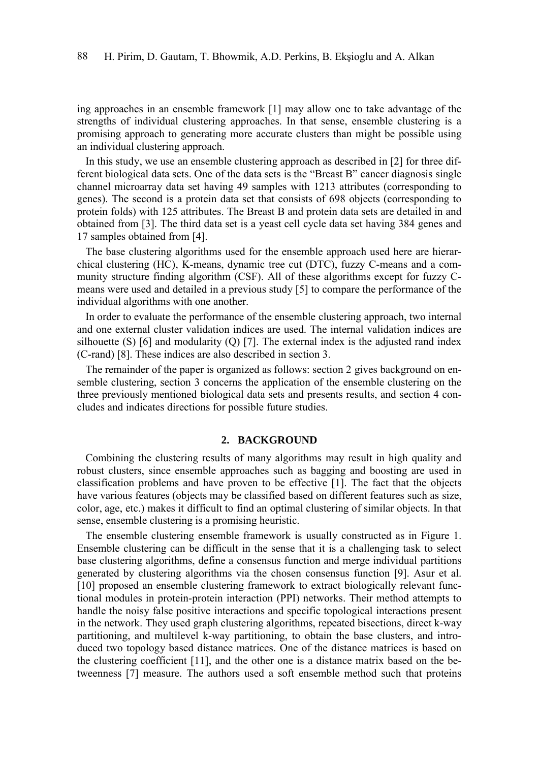ing approaches in an ensemble framework [1] may allow one to take advantage of the strengths of individual clustering approaches. In that sense, ensemble clustering is a promising approach to generating more accurate clusters than might be possible using an individual clustering approach.

In this study, we use an ensemble clustering approach as described in [2] for three different biological data sets. One of the data sets is the "Breast B" cancer diagnosis single channel microarray data set having 49 samples with 1213 attributes (corresponding to genes). The second is a protein data set that consists of 698 objects (corresponding to protein folds) with 125 attributes. The Breast B and protein data sets are detailed in and obtained from [3]. The third data set is a yeast cell cycle data set having 384 genes and 17 samples obtained from [4].

The base clustering algorithms used for the ensemble approach used here are hierarchical clustering (HC), K-means, dynamic tree cut (DTC), fuzzy C-means and a community structure finding algorithm (CSF). All of these algorithms except for fuzzy Cmeans were used and detailed in a previous study [5] to compare the performance of the individual algorithms with one another.

In order to evaluate the performance of the ensemble clustering approach, two internal and one external cluster validation indices are used. The internal validation indices are silhouette  $(S)$  [6] and modularity  $(O)$  [7]. The external index is the adjusted rand index (C-rand) [8]. These indices are also described in section 3.

The remainder of the paper is organized as follows: section 2 gives background on ensemble clustering, section 3 concerns the application of the ensemble clustering on the three previously mentioned biological data sets and presents results, and section 4 concludes and indicates directions for possible future studies.

#### **2. BACKGROUND**

Combining the clustering results of many algorithms may result in high quality and robust clusters, since ensemble approaches such as bagging and boosting are used in classification problems and have proven to be effective [1]. The fact that the objects have various features (objects may be classified based on different features such as size, color, age, etc.) makes it difficult to find an optimal clustering of similar objects. In that sense, ensemble clustering is a promising heuristic.

The ensemble clustering ensemble framework is usually constructed as in Figure 1. Ensemble clustering can be difficult in the sense that it is a challenging task to select base clustering algorithms, define a consensus function and merge individual partitions generated by clustering algorithms via the chosen consensus function [9]. Asur et al. [10] proposed an ensemble clustering framework to extract biologically relevant functional modules in protein-protein interaction (PPI) networks. Their method attempts to handle the noisy false positive interactions and specific topological interactions present in the network. They used graph clustering algorithms, repeated bisections, direct k-way partitioning, and multilevel k-way partitioning, to obtain the base clusters, and introduced two topology based distance matrices. One of the distance matrices is based on the clustering coefficient [11], and the other one is a distance matrix based on the betweenness [7] measure. The authors used a soft ensemble method such that proteins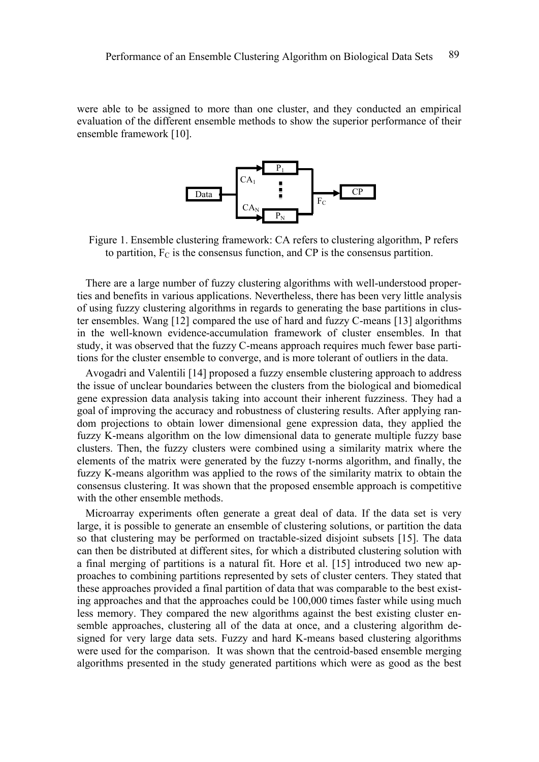were able to be assigned to more than one cluster, and they conducted an empirical evaluation of the different ensemble methods to show the superior performance of their ensemble framework [10].



Figure 1. Ensemble clustering framework: CA refers to clustering algorithm, P refers to partition,  $F_C$  is the consensus function, and CP is the consensus partition.

There are a large number of fuzzy clustering algorithms with well-understood properties and benefits in various applications. Nevertheless, there has been very little analysis of using fuzzy clustering algorithms in regards to generating the base partitions in cluster ensembles. Wang [12] compared the use of hard and fuzzy C-means [13] algorithms in the well-known evidence-accumulation framework of cluster ensembles. In that study, it was observed that the fuzzy C-means approach requires much fewer base partitions for the cluster ensemble to converge, and is more tolerant of outliers in the data.

Avogadri and Valentili [14] proposed a fuzzy ensemble clustering approach to address the issue of unclear boundaries between the clusters from the biological and biomedical gene expression data analysis taking into account their inherent fuzziness. They had a goal of improving the accuracy and robustness of clustering results. After applying random projections to obtain lower dimensional gene expression data, they applied the fuzzy K-means algorithm on the low dimensional data to generate multiple fuzzy base clusters. Then, the fuzzy clusters were combined using a similarity matrix where the elements of the matrix were generated by the fuzzy t-norms algorithm, and finally, the fuzzy K-means algorithm was applied to the rows of the similarity matrix to obtain the consensus clustering. It was shown that the proposed ensemble approach is competitive with the other ensemble methods.

Microarray experiments often generate a great deal of data. If the data set is very large, it is possible to generate an ensemble of clustering solutions, or partition the data so that clustering may be performed on tractable-sized disjoint subsets [15]. The data can then be distributed at different sites, for which a distributed clustering solution with a final merging of partitions is a natural fit. Hore et al. [15] introduced two new approaches to combining partitions represented by sets of cluster centers. They stated that these approaches provided a final partition of data that was comparable to the best existing approaches and that the approaches could be 100,000 times faster while using much less memory. They compared the new algorithms against the best existing cluster ensemble approaches, clustering all of the data at once, and a clustering algorithm designed for very large data sets. Fuzzy and hard K-means based clustering algorithms were used for the comparison. It was shown that the centroid-based ensemble merging algorithms presented in the study generated partitions which were as good as the best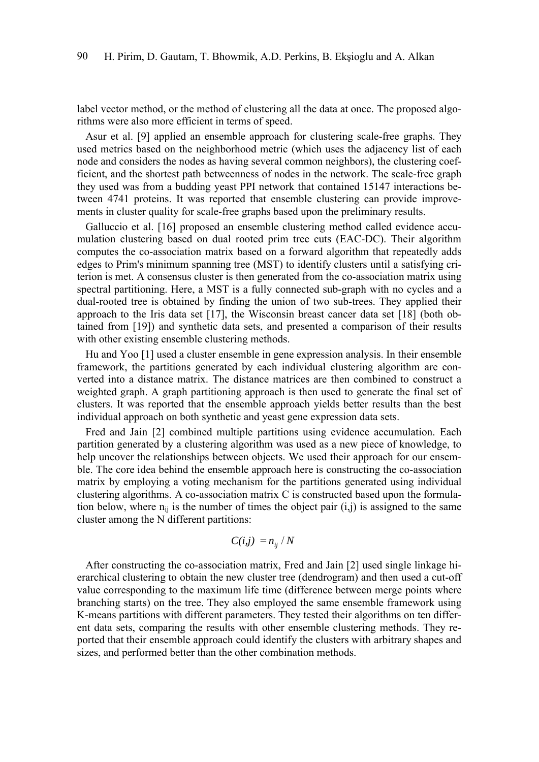label vector method, or the method of clustering all the data at once. The proposed algorithms were also more efficient in terms of speed.

Asur et al. [9] applied an ensemble approach for clustering scale-free graphs. They used metrics based on the neighborhood metric (which uses the adjacency list of each node and considers the nodes as having several common neighbors), the clustering coefficient, and the shortest path betweenness of nodes in the network. The scale-free graph they used was from a budding yeast PPI network that contained 15147 interactions between 4741 proteins. It was reported that ensemble clustering can provide improvements in cluster quality for scale-free graphs based upon the preliminary results.

Galluccio et al. [16] proposed an ensemble clustering method called evidence accumulation clustering based on dual rooted prim tree cuts (EAC-DC). Their algorithm computes the co-association matrix based on a forward algorithm that repeatedly adds edges to Prim's minimum spanning tree (MST) to identify clusters until a satisfying criterion is met. A consensus cluster is then generated from the co-association matrix using spectral partitioning. Here, a MST is a fully connected sub-graph with no cycles and a dual-rooted tree is obtained by finding the union of two sub-trees. They applied their approach to the Iris data set [17], the Wisconsin breast cancer data set [18] (both obtained from [19]) and synthetic data sets, and presented a comparison of their results with other existing ensemble clustering methods.

Hu and Yoo [1] used a cluster ensemble in gene expression analysis. In their ensemble framework, the partitions generated by each individual clustering algorithm are converted into a distance matrix. The distance matrices are then combined to construct a weighted graph. A graph partitioning approach is then used to generate the final set of clusters. It was reported that the ensemble approach yields better results than the best individual approach on both synthetic and yeast gene expression data sets.

Fred and Jain [2] combined multiple partitions using evidence accumulation. Each partition generated by a clustering algorithm was used as a new piece of knowledge, to help uncover the relationships between objects. We used their approach for our ensemble. The core idea behind the ensemble approach here is constructing the co-association matrix by employing a voting mechanism for the partitions generated using individual clustering algorithms. A co-association matrix C is constructed based upon the formulation below, where  $n_{ij}$  is the number of times the object pair  $(i,j)$  is assigned to the same cluster among the N different partitions:

$$
C(i,j) = n_{ij} / N
$$

After constructing the co-association matrix, Fred and Jain [2] used single linkage hierarchical clustering to obtain the new cluster tree (dendrogram) and then used a cut-off value corresponding to the maximum life time (difference between merge points where branching starts) on the tree. They also employed the same ensemble framework using K-means partitions with different parameters. They tested their algorithms on ten different data sets, comparing the results with other ensemble clustering methods. They reported that their ensemble approach could identify the clusters with arbitrary shapes and sizes, and performed better than the other combination methods.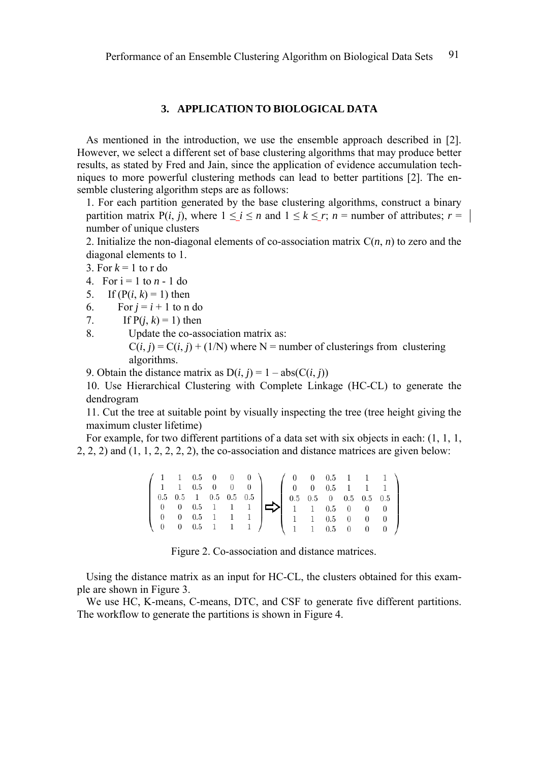## **3. APPLICATION TO BIOLOGICAL DATA**

As mentioned in the introduction, we use the ensemble approach described in [2]. However, we select a different set of base clustering algorithms that may produce better results, as stated by Fred and Jain, since the application of evidence accumulation techniques to more powerful clustering methods can lead to better partitions [2]. The ensemble clustering algorithm steps are as follows:

1. For each partition generated by the base clustering algorithms, construct a binary partition matrix  $P(i, j)$ , where  $1 \le i \le n$  and  $1 \le k \le r$ ;  $n =$  number of attributes;  $r =$ number of unique clusters

2. Initialize the non-diagonal elements of co-association matrix  $C(n, n)$  to zero and the diagonal elements to 1.

3. For  $k = 1$  to r do

- 4. For  $i = 1$  to  $n 1$  do
- 5. If  $(P(i, k) = 1)$  then
- 6. For  $i = i + 1$  to n do
- 7. If  $P(i, k) = 1$ ) then
- 8. Update the co-association matrix as:  $C(i, j) = C(i, j) + (1/N)$  where N = number of clusterings from clustering algorithms.

9. Obtain the distance matrix as  $D(i, j) = 1 - abs(C(i, j))$ 

10. Use Hierarchical Clustering with Complete Linkage (HC-CL) to generate the dendrogram

11. Cut the tree at suitable point by visually inspecting the tree (tree height giving the maximum cluster lifetime)

For example, for two different partitions of a data set with six objects in each:  $(1, 1, 1, 1)$  $2, 2, 2$ ) and  $(1, 1, 2, 2, 2, 2)$ , the co-association and distance matrices are given below:

|  |  |  | $\left(\begin{array}{cccccc} 1 & 1 & 0.5 & 0 & 0 & 0 \\ 1 & 1 & 0.5 & 0 & 0 & 0 \\ 0.5 & 0.5 & 1 & 0.5 & 0.5 & 0.5 \\ 0 & 0 & 0.5 & 1 & 1 & 1 \\ 0 & 0 & 0.5 & 1 & 1 & 1 \\ 0 & 0 & 0.5 & 1 & 1 & 1 \end{array}\right) \bullet \bullet \left(\begin{array}{cccccc} 0 & 0 & 0.5 & 1 & 1 & 1 \\ 0 & 0 & 0.5 & 1 & 1 & 1 \\ 0.5 & 0.5 & 0 & 0.5 & 0.5$ |  |  |  |  |
|--|--|--|-----------------------------------------------------------------------------------------------------------------------------------------------------------------------------------------------------------------------------------------------------------------------------------------------------------------------------------------------------|--|--|--|--|

Figure 2. Co-association and distance matrices.

Using the distance matrix as an input for HC-CL, the clusters obtained for this example are shown in Figure 3.

We use HC, K-means, C-means, DTC, and CSF to generate five different partitions. The workflow to generate the partitions is shown in Figure 4.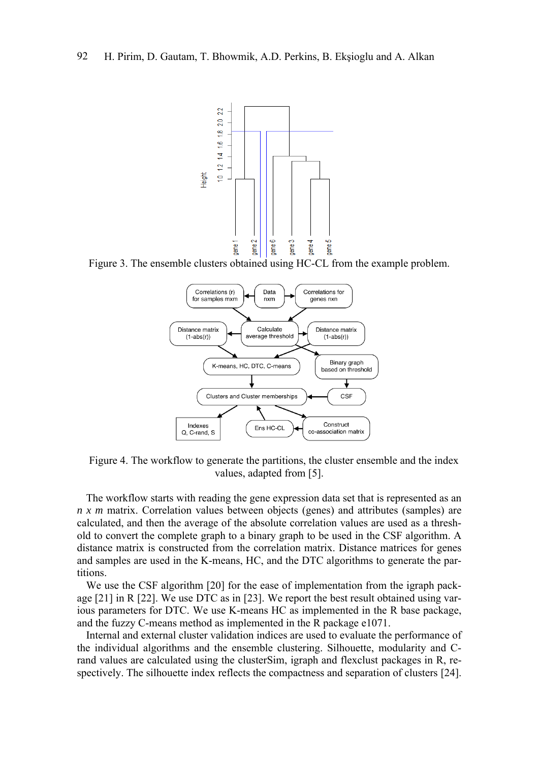

Figure 3. The ensemble clusters obtained using HC-CL from the example problem.



Figure 4. The workflow to generate the partitions, the cluster ensemble and the index values, adapted from [5].

The workflow starts with reading the gene expression data set that is represented as an *n x m* matrix. Correlation values between objects (genes) and attributes (samples) are calculated, and then the average of the absolute correlation values are used as a threshold to convert the complete graph to a binary graph to be used in the CSF algorithm. A distance matrix is constructed from the correlation matrix. Distance matrices for genes and samples are used in the K-means, HC, and the DTC algorithms to generate the partitions.

We use the CSF algorithm [20] for the ease of implementation from the igraph package [21] in R [22]. We use DTC as in [23]. We report the best result obtained using various parameters for DTC. We use K-means HC as implemented in the R base package, and the fuzzy C-means method as implemented in the R package e1071.

Internal and external cluster validation indices are used to evaluate the performance of the individual algorithms and the ensemble clustering. Silhouette, modularity and Crand values are calculated using the clusterSim, igraph and flexclust packages in R, respectively. The silhouette index reflects the compactness and separation of clusters [24].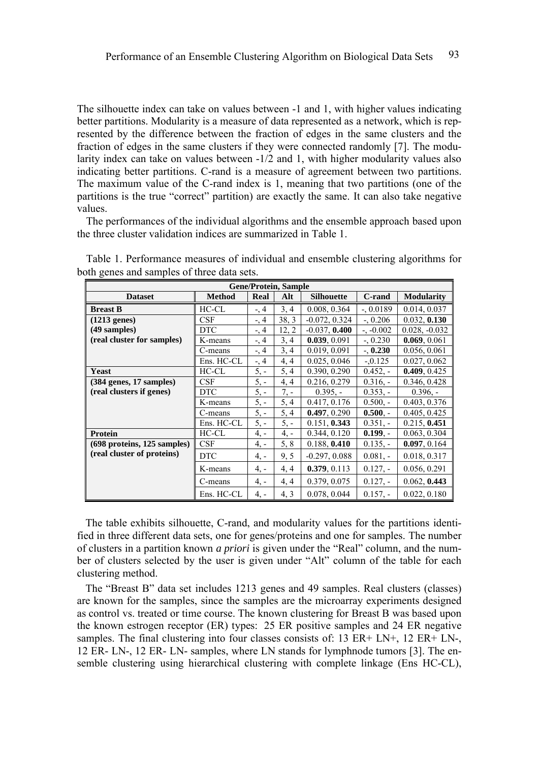The silhouette index can take on values between -1 and 1, with higher values indicating better partitions. Modularity is a measure of data represented as a network, which is represented by the difference between the fraction of edges in the same clusters and the fraction of edges in the same clusters if they were connected randomly [7]. The modularity index can take on values between -1/2 and 1, with higher modularity values also indicating better partitions. C-rand is a measure of agreement between two partitions. The maximum value of the C-rand index is 1, meaning that two partitions (one of the partitions is the true "correct" partition) are exactly the same. It can also take negative values.

The performances of the individual algorithms and the ensemble approach based upon the three cluster validation indices are summarized in Table 1.

| <b>Gene/Protein, Sample</b>     |               |                   |        |                   |                |                   |  |  |  |
|---------------------------------|---------------|-------------------|--------|-------------------|----------------|-------------------|--|--|--|
| <b>Dataset</b>                  | <b>Method</b> | Real              | Alt    | <b>Silhouette</b> | <b>C-rand</b>  | <b>Modularity</b> |  |  |  |
| <b>Breast B</b>                 | HC-CL         | $-1, 4$           | 3, 4   | 0.008, 0.364      | $-.0.0189$     | 0.014, 0.037      |  |  |  |
| $(1213$ genes)                  | CSF           | $\frac{1}{2}$ , 4 | 38, 3  | $-0.072, 0.324$   | $-.0.206$      | 0.032, 0.130      |  |  |  |
| $(49$ samples)                  | <b>DTC</b>    | $\frac{1}{2}$ 4   | 12, 2  | $-0.037, 0.400$   | $-$ , $-0.002$ | $0.028, -0.032$   |  |  |  |
| (real cluster for samples)      | K-means       | $\frac{1}{2}$ 4   | 3, 4   | 0.039, 0.091      | $-0.230$       | 0.069, 0.061      |  |  |  |
|                                 | C-means       | $\frac{1}{2}$ 4   | 3, 4   | 0.019, 0.091      | $-0.230$       | 0.056, 0.061      |  |  |  |
|                                 | Ens. HC-CL    | $-$ , 4           | 4, 4   | 0.025, 0.046      | $-.0.125$      | 0.027, 0.062      |  |  |  |
| <b>Yeast</b>                    | $HC-CL$       | $5, -$            | 5, 4   | 0.390, 0.290      | $0.452,-$      | 0.409, 0.425      |  |  |  |
| $(384$ genes, 17 samples)       | CSF           | $5, -$            | 4, 4   | 0.216, 0.279      | $0.316,-$      | 0.346, 0.428      |  |  |  |
| (real clusters if genes)        | <b>DTC</b>    | $5, -$            | 7, -   | $0.395,-$         | $0.353,-$      | $0.396, -$        |  |  |  |
|                                 | K-means       | $5, -$            | 5, 4   | 0.417, 0.176      | $0.500, -$     | 0.403, 0.376      |  |  |  |
|                                 | C-means       | $5, -$            | 5, 4   | 0.497, 0.290      | $0.500, -$     | 0.405, 0.425      |  |  |  |
|                                 | Ens. HC-CL    | $5, -$            | $5, -$ | 0.151, 0.343      | $0.351 -$      | 0.215, 0.451      |  |  |  |
| Protein                         | HC-CL         | $4^{2}$           | $4, -$ | 0.344, 0.120      | $0.199, -$     | 0.063, 0.304      |  |  |  |
| $(698$ proteins, $125$ samples) | <b>CSF</b>    | $4, -$            | 5, 8   | 0.188, 0.410      | $0.135,-$      | 0.097, 0.164      |  |  |  |
| (real cluster of proteins)      | <b>DTC</b>    | $4, -$            | 9, 5   | $-0.297, 0.088$   | $0.081, -$     | 0.018, 0.317      |  |  |  |
|                                 | K-means       | $4_{2}$           | 4, 4   | 0.379, 0.113      | $0.127, -$     | 0.056, 0.291      |  |  |  |
|                                 | C-means       | $4, -$            | 4, 4   | 0.379, 0.075      | $0.127,-$      | 0.062, 0.443      |  |  |  |
|                                 | Ens. HC-CL    | $4, -$            | 4, 3   | 0.078, 0.044      | $0.157, -$     | 0.022, 0.180      |  |  |  |

Table 1. Performance measures of individual and ensemble clustering algorithms for both genes and samples of three data sets.

The table exhibits silhouette, C-rand, and modularity values for the partitions identified in three different data sets, one for genes/proteins and one for samples. The number of clusters in a partition known *a priori* is given under the "Real" column, and the number of clusters selected by the user is given under "Alt" column of the table for each clustering method.

The "Breast B" data set includes 1213 genes and 49 samples. Real clusters (classes) are known for the samples, since the samples are the microarray experiments designed as control vs. treated or time course. The known clustering for Breast B was based upon the known estrogen receptor (ER) types: 25 ER positive samples and 24 ER negative samples. The final clustering into four classes consists of: 13 ER+ LN+, 12 ER+ LN-, 12 ER- LN-, 12 ER- LN- samples, where LN stands for lymphnode tumors [3]. The ensemble clustering using hierarchical clustering with complete linkage (Ens HC-CL),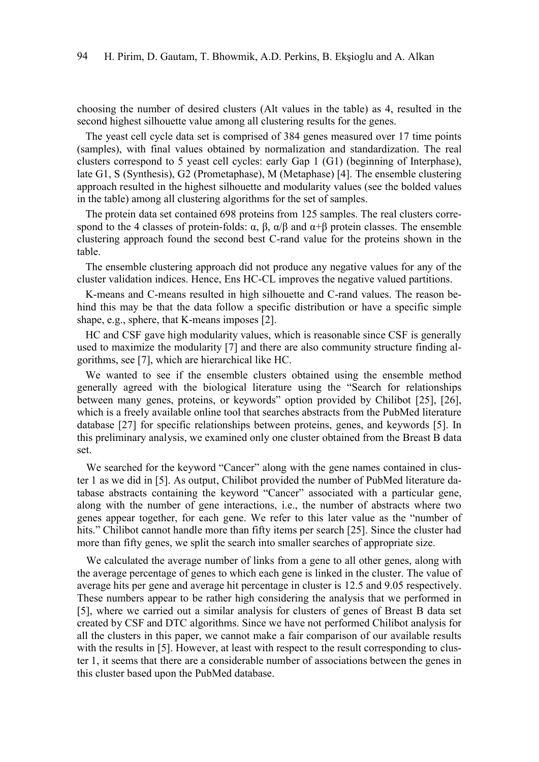choosing the number of desired clusters (Alt values in the table) as 4, resulted in the second highest silhouette value among all clustering results for the genes.

The yeast cell cycle data set is comprised of 384 genes measured over 17 time points (samples), with final values obtained by normalization and standardization. The real clusters correspond to 5 yeast cell cycles: early Gap 1 (G1) (beginning of Interphase), late G1, S (Synthesis), G2 (Prometaphase), M (Metaphase) [4]. The ensemble clustering approach resulted in the highest silhouette and modularity values (see the bolded values in the table) among all clustering algorithms for the set of samples.

The protein data set contained 698 proteins from 125 samples. The real clusters correspond to the 4 classes of protein-folds:  $\alpha$ ,  $\beta$ ,  $\alpha/\beta$  and  $\alpha+\beta$  protein classes. The ensemble clustering approach found the second best C-rand value for the proteins shown in the table.

The ensemble clustering approach did not produce any negative values for any of the cluster validation indices. Hence, Ens HC-CL improves the negative valued partitions.

K-means and C-means resulted in high silhouette and C-rand values. The reason behind this may be that the data follow a specific distribution or have a specific simple shape, e.g., sphere, that K-means imposes [2].

HC and CSF gave high modularity values, which is reasonable since CSF is generally used to maximize the modularity [7] and there are also community structure finding algorithms, see [7], which are hierarchical like HC.

We wanted to see if the ensemble clusters obtained using the ensemble method generally agreed with the biological literature using the "Search for relationships between many genes, proteins, or keywords" option provided by Chilibot [25], [26], which is a freely available online tool that searches abstracts from the PubMed literature database [27] for specific relationships between proteins, genes, and keywords [5]. In this preliminary analysis, we examined only one cluster obtained from the Breast B data set.

We searched for the keyword "Cancer" along with the gene names contained in cluster 1 as we did in [5]. As output, Chilibot provided the number of PubMed literature database abstracts containing the keyword "Cancer" associated with a particular gene, along with the number of gene interactions, i.e., the number of abstracts where two genes appear together, for each gene. We refer to this later value as the "number of hits." Chilibot cannot handle more than fifty items per search [25]. Since the cluster had more than fifty genes, we split the search into smaller searches of appropriate size.

We calculated the average number of links from a gene to all other genes, along with the average percentage of genes to which each gene is linked in the cluster. The value of average hits per gene and average hit percentage in cluster is 12.5 and 9.05 respectively. These numbers appear to be rather high considering the analysis that we performed in [5], where we carried out a similar analysis for clusters of genes of Breast B data set created by CSF and DTC algorithms. Since we have not performed Chilibot analysis for all the clusters in this paper, we cannot make a fair comparison of our available results with the results in [5]. However, at least with respect to the result corresponding to cluster 1, it seems that there are a considerable number of associations between the genes in this cluster based upon the PubMed database.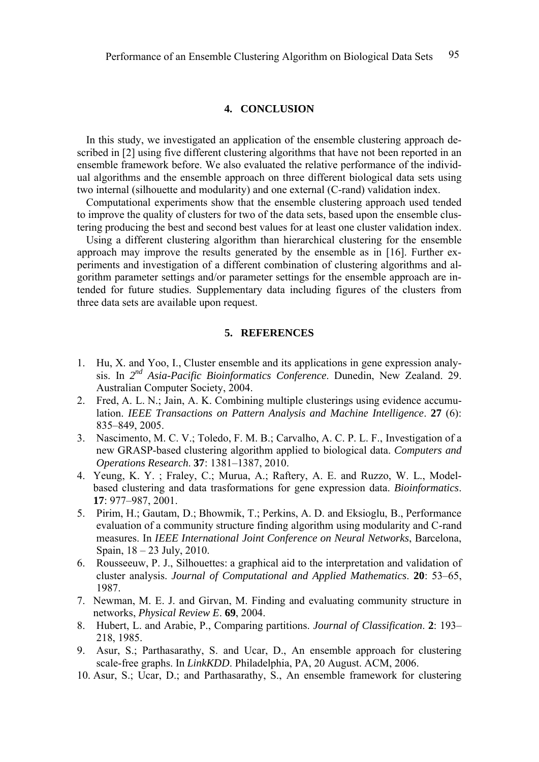## **4. CONCLUSION**

In this study, we investigated an application of the ensemble clustering approach described in [2] using five different clustering algorithms that have not been reported in an ensemble framework before. We also evaluated the relative performance of the individual algorithms and the ensemble approach on three different biological data sets using two internal (silhouette and modularity) and one external (C-rand) validation index.

Computational experiments show that the ensemble clustering approach used tended to improve the quality of clusters for two of the data sets, based upon the ensemble clustering producing the best and second best values for at least one cluster validation index.

Using a different clustering algorithm than hierarchical clustering for the ensemble approach may improve the results generated by the ensemble as in [16]. Further experiments and investigation of a different combination of clustering algorithms and algorithm parameter settings and/or parameter settings for the ensemble approach are intended for future studies. Supplementary data including figures of the clusters from three data sets are available upon request.

#### **5. REFERENCES**

- 1. Hu, X. and Yoo, I., Cluster ensemble and its applications in gene expression analysis. In *2nd Asia-Pacific Bioinformatics Conference*. Dunedin, New Zealand. 29. Australian Computer Society, 2004.
- 2. Fred, A. L. N.; Jain, A. K. Combining multiple clusterings using evidence accumulation. *IEEE Transactions on Pattern Analysis and Machine Intelligence*. **27** (6): 835–849, 2005.
- 3. Nascimento, M. C. V.; Toledo, F. M. B.; Carvalho, A. C. P. L. F., Investigation of a new GRASP-based clustering algorithm applied to biological data. *Computers and Operations Research*. **37**: 1381–1387, 2010.
- 4. Yeung, K. Y. ; Fraley, C.; Murua, A.; Raftery, A. E. and Ruzzo, W. L., Modelbased clustering and data trasformations for gene expression data. *Bioinformatics*. **17**: 977–987, 2001.
- 5. Pirim, H.; Gautam, D.; Bhowmik, T.; Perkins, A. D. and Eksioglu, B., Performance evaluation of a community structure finding algorithm using modularity and C-rand measures. In *IEEE International Joint Conference on Neural Networks*, Barcelona, Spain, 18 – 23 July, 2010.
- 6. Rousseeuw, P. J., Silhouettes: a graphical aid to the interpretation and validation of cluster analysis. *Journal of Computational and Applied Mathematics*. **20**: 53–65, 1987.
- 7. Newman, M. E. J. and Girvan, M. Finding and evaluating community structure in networks, *Physical Review E*. **69**, 2004.
- 8. Hubert, L. and Arabie, P., Comparing partitions. *Journal of Classification*. **2**: 193– 218, 1985.
- 9. Asur, S.; Parthasarathy, S. and Ucar, D., An ensemble approach for clustering scale-free graphs. In *LinkKDD*. Philadelphia, PA, 20 August. ACM, 2006.
- 10. Asur, S.; Ucar, D.; and Parthasarathy, S., An ensemble framework for clustering